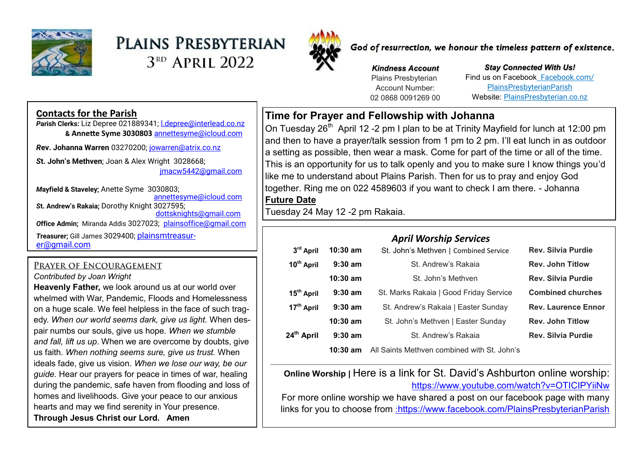

# PLAINS PRESBYTERIAN 3<sup>RD</sup> APRIL 2022



God of resurrection, we honour the timeless pattern of existence.

*Kindness Account* Plains Presbyterian Account Number: 02 0868 0091269 00

*Stay Connected With Us!* Find us on Facebook [Facebook.com/](file:///C:/Users/PlainsAdmin/Documents/2021PLAINS/ls/2022/Facebook.com/PlainsPresbyterianParish) [PlainsPresbyterianParish](file:///C:/Users/PlainsAdmin/Documents/2021PLAINS/ls/2022/Facebook.com/PlainsPresbyterianParish) Website: [PlainsPresbyterian.co.nz](http://www.plainspresbyterian.co.nz/)

### **Contacts for the Parish**

*P***arish Clerks:** Liz Depree 021889341; [l.depree@interlead.co.nz](mailto:l.depree@interlead.co.nz) **& Annette Syme 3030803** [annettesyme@icloud.com](mailto:annettesyme@icloud.com)

*R***ev. Johanna Warren** 03270200; [jowarren@atrix.co.nz](mailto:jowarren@atrix.co.nz)

*S***t. John's Methven**; Joan & Alex Wright 3028668; [jmacw5442@gmail.com](mailto:jmacw5442@gmail.com)

*M***ayfield & Staveley;** Anette Syme 3030803; [annettesyme@icloud.com](mailto:annettesyme@icloud.com) *S***t. Andrew's Rakaia;** Dorothy Knight 3027595; [dottsknights@gmail.com](mailto:dottsknights@gmail.com) **Office Admin:** Miranda Addis 3027023; [plainsoffice@gmail.com](mailto:plainsoffice@gmail.com) *T***reasurer;** Gill James 3029400; [plainsmtreasur](mailto:plainsmtreasurer@gmail.com)[er@gmail.com](mailto:plainsmtreasurer@gmail.com)

### PRAYER OF ENCOURAGEMENT

*Contributed by Joan Wright*

**Heavenly Father,** we look around us at our world over whelmed with War, Pandemic, Floods and Homelessness on a huge scale. We feel helpless in the face of such tragedy. *When our world seems dark, give us light.* When despair numbs our souls, give us hope. *When we stumble and fall, lift us up*. When we are overcome by doubts, give us faith. *When nothing seems sure, give us trust.* When ideals fade, give us vision. *When we lose our way, be our guide.* Hear our prayers for peace in times of war, healing during the pandemic, safe haven from flooding and loss of homes and livelihoods. Give your peace to our anxious hearts and may we find serenity in Your presence. **Through Jesus Christ our Lord. Amen**

## **Time for Prayer and Fellowship with Johanna**

On Tuesday 26<sup>th</sup> April 12 -2 pm I plan to be at Trinity Mayfield for lunch at 12:00 pm and then to have a prayer/talk session from 1 pm to 2 pm. I'll eat lunch in as outdoor a setting as possible, then wear a mask. Come for part of the time or all of the time. This is an opportunity for us to talk openly and you to make sure I know things you'd like me to understand about Plains Parish. Then for us to pray and enjoy God together. Ring me on 022 4589603 if you want to check I am there. - Johanna **Future Date**

Tuesday 24 May 12 -2 pm Rakaia.

| 3rd April              | $10:30$ am | <b>April Worship Services</b><br>St. John's Methven   Combined Service | <b>Rev. Silvia Purdie</b>  |
|------------------------|------------|------------------------------------------------------------------------|----------------------------|
|                        |            |                                                                        |                            |
| 10 <sup>th</sup> April | $9:30$ am  | St. Andrew's Rakaja                                                    | <b>Rev. John Titlow</b>    |
|                        | $10:30$ am | St. John's Methyen                                                     | <b>Rev. Silvia Purdie</b>  |
| 15 <sup>th</sup> April | $9:30$ am  | St. Marks Rakaia   Good Friday Service                                 | <b>Combined churches</b>   |
| 17 <sup>th</sup> April | $9:30$ am  | St. Andrew's Rakaia   Easter Sunday                                    | <b>Rev. Laurence Ennor</b> |
|                        | $10:30$ am | St. John's Methven   Easter Sunday                                     | <b>Rev. John Titlow</b>    |
| 24 <sup>th</sup> April | $9:30$ am  | St. Andrew's Rakaja                                                    | <b>Rev. Silvia Purdie</b>  |
|                        | 10:30 am   | All Saints Methven combined with St. John's                            |                            |

**Online Worship | Here is a link for St. David's Ashburton online worship:** https://www.youtube.com/watch?v=OTICIPYiiNw

For more online worship we have shared a post on our facebook page with many links for you to choose from :<https://www.facebook.com/PlainsPresbyterianParish>